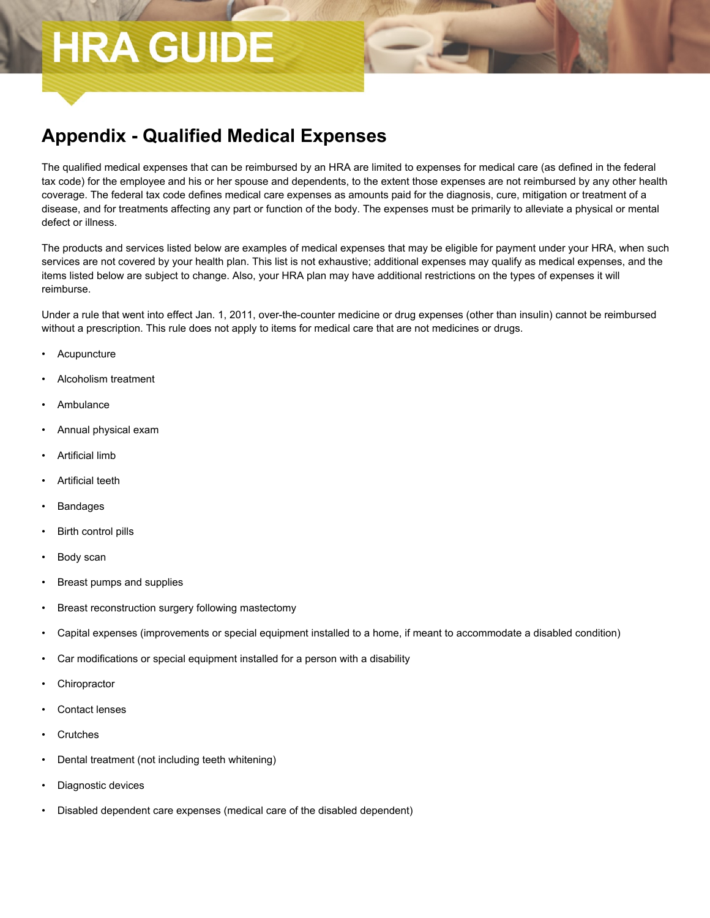## **HRA GUIDE**

## **Appendix - Qualified Medical Expenses**

The qualified medical expenses that can be reimbursed by an HRA are limited to expenses for medical care (as defined in the federal tax code) for the employee and his or her spouse and dependents, to the extent those expenses are not reimbursed by any other health coverage. The federal tax code defines medical care expenses as amounts paid for the diagnosis, cure, mitigation or treatment of a disease, and for treatments affecting any part or function of the body. The expenses must be primarily to alleviate a physical or mental defect or illness.

The products and services listed below are examples of medical expenses that may be eligible for payment under your HRA, when such services are not covered by your health plan. This list is not exhaustive; additional expenses may qualify as medical expenses, and the items listed below are subject to change. Also, your HRA plan may have additional restrictions on the types of expenses it will reimburse.

Under a rule that went into effect Jan. 1, 2011, over-the-counter medicine or drug expenses (other than insulin) cannot be reimbursed without a prescription. This rule does not apply to items for medical care that are not medicines or drugs.

- **Acupuncture**
- Alcoholism treatment
- Ambulance
- Annual physical exam
- Artificial limb
- Artificial teeth
- Bandages
- Birth control pills
- Body scan
- Breast pumps and supplies
- Breast reconstruction surgery following mastectomy
- Capital expenses (improvements or special equipment installed to a home, if meant to accommodate a disabled condition)
- Car modifications or special equipment installed for a person with a disability
- **Chiropractor**
- Contact lenses
- **Crutches**
- Dental treatment (not including teeth whitening)
- Diagnostic devices
- Disabled dependent care expenses (medical care of the disabled dependent)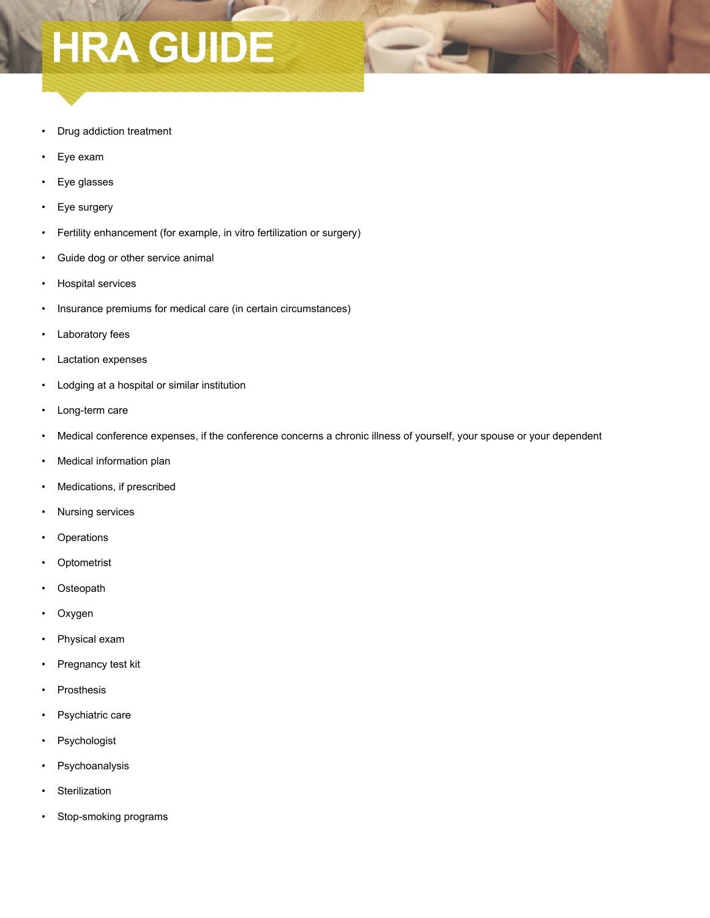## **HRA GUIDE**

- Drug addiction treatment
- Eye exam
- Eye glasses
- Eye surgery
- Fertility enhancement (for example, in vitro fertilization or surgery)
- Guide dog or other service animal
- Hospital services
- Insurance premiums for medical care (in certain circumstances)
- Laboratory fees
- Lactation expenses
- Lodging at a hospital or similar institution
- Long-term care
- Medical conference expenses, if the conference concerns a chronic illness of yourself, your spouse or your dependent
- Medical information plan
- Medications, if prescribed
- Nursing services
- **Operations**
- **Optometrist**
- **Osteopath**
- Oxygen
- Physical exam
- Pregnancy test kit
- **Prosthesis**
- Psychiatric care
- Psychologist
- Psychoanalysis
- Sterilization
- Stop-smoking programs